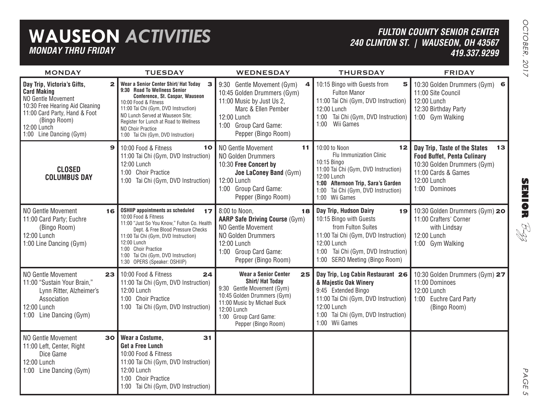| <b>MONDAY THRU FRIDAY</b>                                                                                                                                                                             |              | <b>WAUSEON ACTIVITIES</b>                                                                                                                                                                                                                                                                                               |                                                                                                                                                                                                                        |                                                                                                                                                                                                                     | <b>FULTON COUNTY SENIOR CENTER</b><br>240 CLINTON ST.   WAUSEON, OH 43567<br>419.337.9299                                                                       |
|-------------------------------------------------------------------------------------------------------------------------------------------------------------------------------------------------------|--------------|-------------------------------------------------------------------------------------------------------------------------------------------------------------------------------------------------------------------------------------------------------------------------------------------------------------------------|------------------------------------------------------------------------------------------------------------------------------------------------------------------------------------------------------------------------|---------------------------------------------------------------------------------------------------------------------------------------------------------------------------------------------------------------------|-----------------------------------------------------------------------------------------------------------------------------------------------------------------|
| <b>MONDAY</b>                                                                                                                                                                                         |              | <b>TUESDAY</b>                                                                                                                                                                                                                                                                                                          | <b>WEDNESDAY</b>                                                                                                                                                                                                       | <b>THURSDAY</b>                                                                                                                                                                                                     | <b>FRIDAY</b>                                                                                                                                                   |
| Day Trip, Victoria's Gifts,<br><b>Card Making</b><br>NO Gentle Movement<br>10:30 Free Hearing Aid Cleaning<br>11:00 Card Party, Hand & Foot<br>(Bingo Room)<br>12:00 Lunch<br>1:00 Line Dancing (Gym) | $\mathbf{2}$ | Wear a Senior Center Shirt/ Hat Today<br>3<br>9:30 Road To Wellness Senior<br>Conference, St. Caspar, Wauseon<br>10:00 Food & Fitness<br>11:00 Tai Chi (Gym, DVD Instruction)<br>NO Lunch Served at Wauseon Site;<br>Register for Lunch at Road to Wellness<br>NO Choir Practice<br>1:00 Tai Chi (Gym, DVD Instruction) | 9:30 Gentle Movement (Gym)<br>4<br>10:45 Golden Drummers (Gym)<br>11:00 Music by Just Us 2,<br>Marc & Ellen Pember<br>12:00 Lunch<br>1:00 Group Card Game:<br>Pepper (Bingo Room)                                      | 10:15 Bingo with Guests from<br>5<br><b>Fulton Manor</b><br>11:00 Tai Chi (Gym, DVD Instruction)<br>12:00 Lunch<br>1:00 Tai Chi (Gym, DVD Instruction)<br>Wii Games<br>1:00                                         | 10:30 Golden Drummers (Gym) 6<br>11:00 Site Council<br>12:00 Lunch<br>12:30 Birthday Party<br>1:00 Gym Walking                                                  |
| <b>CLOSED</b><br><b>COLUMBUS DAY</b>                                                                                                                                                                  | $\mathbf{9}$ | 10:00 Food & Fitness<br>10<br>11:00 Tai Chi (Gym, DVD Instruction)<br>12:00 Lunch<br>1:00 Choir Practice<br>1:00 Tai Chi (Gym, DVD Instruction)                                                                                                                                                                         | NO Gentle Movement<br>11<br><b>NO Golden Drummers</b><br>10:30 Free Concert by<br>Joe LaConey Band (Gym)<br>12:00 Lunch<br>1:00 Group Card Game:<br>Pepper (Bingo Room)                                                | 10:00 to Noon<br>12<br>Flu Immunization Clinic<br>10:15 Bingo<br>11:00 Tai Chi (Gym, DVD Instruction)<br>12:00 Lunch<br>1:00 Afternoon Trip, Sara's Garden<br>1:00 Tai Chi (Gym, DVD Instruction)<br>1:00 Wii Games | Day Trip, Taste of the States<br>13<br><b>Food Buffet, Penta Culinary</b><br>10:30 Golden Drummers (Gym)<br>11:00 Cards & Games<br>12:00 Lunch<br>1:00 Dominoes |
| NO Gentle Movement<br>11:00 Card Party; Euchre<br>(Bingo Room)<br>12:00 Lunch<br>1:00 Line Dancing (Gym)                                                                                              | 16           | <b>OSHIIP appointments as scheduled</b><br>17<br>10:00 Food & Fitness<br>11:00 "Just So You Know," Fulton Co. Health<br>Dept. & Free Blood Pressure Checks<br>11:00 Tai Chi (Gym, DVD Instruction)<br>12:00 Lunch<br>1:00 Choir Practice<br>Tai Chi (Gym, DVD Instruction)<br>1:00<br>1:30 OPERS (Speaker: OSHIIP)      | 8:00 to Noon,<br>18<br><b>AARP Safe Driving Course (Gym)</b><br>NO Gentle Movement<br><b>NO Golden Drummers</b><br>12:00 Lunch<br>1:00 Group Card Game:<br>Pepper (Bingo Room)                                         | Day Trip, Hudson Dairy<br>19<br>10:15 Bingo with Guests<br>from Fulton Suites<br>11:00 Tai Chi (Gym, DVD Instruction)<br>12:00 Lunch<br>1:00 Tai Chi (Gym, DVD Instruction)<br>1:00 SERO Meeting (Bingo Room)       | 10:30 Golden Drummers (Gym) 20<br>11:00 Crafters' Corner<br>with Lindsay<br>12:00 Lunch<br>1:00 Gym Walking                                                     |
| NO Gentle Movement<br>11:00 "Sustain Your Brain,"<br>Lynn Ritter, Alzheimer's<br>Association<br>12:00 Lunch<br>1:00 Line Dancing (Gym)                                                                | 23           | 10:00 Food & Fitness<br>24<br>11:00 Tai Chi (Gym, DVD Instruction)<br>12:00 Lunch<br>1:00 Choir Practice<br>1:00 Tai Chi (Gym, DVD Instruction)                                                                                                                                                                         | <b>Wear a Senior Center</b><br>25<br><b>Shirt/Hat Today</b><br>9:30 Gentle Movement (Gym)<br>10:45 Golden Drummers (Gym)<br>11:00 Music by Michael Buck<br>12:00 Lunch<br>1:00 Group Card Game:<br>Pepper (Bingo Room) | Day Trip, Log Cabin Restaurant 26<br>& Majestic Oak Winery<br>9:45 Extended Bingo<br>11:00 Tai Chi (Gym, DVD Instruction)<br>12:00 Lunch<br>1:00 Tai Chi (Gym, DVD Instruction)<br>1:00 Wii Games                   | 10:30 Golden Drummers (Gym) 27<br>11:00 Dominoes<br>12:00 Lunch<br>1:00 Euchre Card Party<br>(Bingo Room)                                                       |
| NO Gentle Movement<br>11:00 Left, Center, Right<br>Dice Game<br>12:00 Lunch<br>1:00 Line Dancing (Gym)                                                                                                | 30           | <b>Wear a Costume,</b><br>31<br><b>Get a Free Lunch</b><br>10:00 Food & Fitness<br>11:00 Tai Chi (Gym, DVD Instruction)<br>12:00 Lunch<br>1:00 Choir Practice<br>1:00 Tai Chi (Gym, DVD Instruction)                                                                                                                    |                                                                                                                                                                                                                        |                                                                                                                                                                                                                     |                                                                                                                                                                 |

**SENIOR** B-zz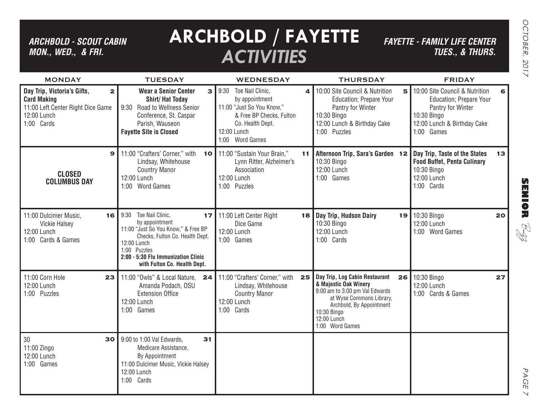# *ARCHBOLD - SCOUT CABIN MON., WED., & FRI.*

# **ARCHBOLD / FAYETTE** *ACTIVITIES*

*FAYETTE - FAMILY LIFE CENTER TUES., & THURS.*

| <b>MONDAY</b>                                                                                                                       | <b>TUESDAY</b>                                                                                                                                                                                                                   | <b>WEDNESDAY</b>                                                                                                                                               | <b>THURSDAY</b>                                                                                                                                                                                          | <b>FRIDAY</b>                                                                                                                                           |
|-------------------------------------------------------------------------------------------------------------------------------------|----------------------------------------------------------------------------------------------------------------------------------------------------------------------------------------------------------------------------------|----------------------------------------------------------------------------------------------------------------------------------------------------------------|----------------------------------------------------------------------------------------------------------------------------------------------------------------------------------------------------------|---------------------------------------------------------------------------------------------------------------------------------------------------------|
| Day Trip, Victoria's Gifts,<br>$\mathbf{2}$<br><b>Card Making</b><br>11:00 Left Center Right Dice Game<br>12:00 Lunch<br>1:00 Cards | <b>Wear a Senior Center</b><br>3<br><b>Shirt/Hat Today</b><br>9:30 Road to Wellness Senior<br>Conference, St. Caspar<br>Parish, Wauseon<br><b>Fayette Site is Closed</b>                                                         | 9:30<br>Toe Nail Clinic,<br>4<br>by appointment<br>11:00 "Just So You Know,"<br>& Free BP Checks, Fulton<br>Co. Health Dept.<br>12:00 Lunch<br>1:00 Word Games | 10:00 Site Council & Nutrition<br>5<br><b>Education</b> ; Prepare Your<br>Pantry for Winter<br>10:30 Bingo<br>12:00 Lunch & Birthday Cake<br>1:00 Puzzles                                                | 10:00 Site Council & Nutrition<br>6<br><b>Education</b> ; Prepare Your<br>Pantry for Winter<br>10:30 Bingo<br>12:00 Lunch & Birthday Cake<br>1:00 Games |
| $\mathbf{9}$<br><b>CLOSED</b><br><b>COLUMBUS DAY</b>                                                                                | 11:00 "Crafters' Corner," with<br><b>10</b><br>Lindsay, Whitehouse<br><b>Country Manor</b><br>12:00 Lunch<br>1:00 Word Games                                                                                                     | 11:00 "Sustain Your Brain,"<br>11<br>Lynn Ritter, Alzheimer's<br>Association<br>12:00 Lunch<br>1:00 Puzzles                                                    | Afternoon Trip, Sara's Garden 12<br>10:30 Bingo<br>12:00 Lunch<br>1:00 Games                                                                                                                             | Day Trip, Taste of the States<br>13 <sub>1</sub><br><b>Food Buffet, Penta Culinary</b><br>10:30 Bingo<br>12:00 Lunch<br>1:00 Cards                      |
| 11:00 Dulcimer Music,<br>16<br><b>Vickie Halsey</b><br>12:00 Lunch<br>1:00 Cards & Games                                            | Toe Nail Clinic,<br>9:30<br>17<br>by appointment<br>11:00 "Just So You Know," & Free BP<br>Checks, Fulton Co. Health Dept.<br>12:00 Lunch<br>1:00 Puzzles<br>2:00 - 5:30 Flu Immunization Clinic<br>with Fulton Co. Health Dept. | 11:00 Left Center Right<br>18<br>Dice Game<br>12:00 Lunch<br>1:00 Games                                                                                        | Day Trip, Hudson Dairy<br>19<br>10:30 Bingo<br>12:00 Lunch<br>1:00 Cards                                                                                                                                 | 10:30 Bingo<br>20<br>12:00 Lunch<br>1:00 Word Games                                                                                                     |
| 11:00 Corn Hole<br>23<br>12:00 Lunch<br>1:00 Puzzles                                                                                | 11:00 "Owls" & Local Nature.<br>24<br>Amanda Podach, OSU<br><b>Extension Office</b><br>12:00 Lunch<br>1:00 Games                                                                                                                 | 11:00 "Crafters' Corner," with<br>25<br>Lindsay, Whitehouse<br><b>Country Manor</b><br>12:00 Lunch<br>1:00 Cards                                               | Day Trip, Log Cabin Restaurant<br>26<br>& Majestic Oak Winery<br>9:00 am to 3:00 pm Val Edwards<br>at Wyse Commons Library,<br>Archbold, By Appointment<br>10:30 Bingo<br>12:00 Lunch<br>1:00 Word Games | 10:30 Bingo<br>27<br>12:00 Lunch<br>1:00 Cards & Games                                                                                                  |
| 30<br>30<br>11:00 Zingo<br>12:00 Lunch<br>1:00 Games                                                                                | 9:00 to 1:00 Val Edwards,<br>31<br>Medicare Assistance,<br>By Appointment<br>11:00 Dulcimer Music, Vickie Halsey<br>12:00 Lunch<br>1:00 Cards                                                                                    |                                                                                                                                                                |                                                                                                                                                                                                          |                                                                                                                                                         |

**SENIOR** B-zz

> PAGE PAGE 7  $\vee$